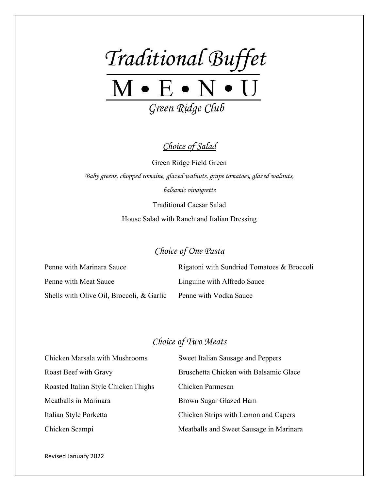

*Choice of Salad*

Green Ridge Field Green *Baby greens, chopped romaine, glazed walnuts, grape tomatoes, glazed walnuts, balsamic vinaigrette*

> Traditional Caesar Salad House Salad with Ranch and Italian Dressing

## *Choice of One Pasta*

Penne with Marinara Sauce Rigatoni with Sundried Tomatoes & Broccoli Penne with Meat Sauce Linguine with Alfredo Sauce Shells with Olive Oil, Broccoli, & Garlic Penne with Vodka Sauce

## *Choice of Two Meats*

| <b>Chicken Marsala with Mushrooms</b> | <b>Sweet Italian Sausage and Peppers</b> |
|---------------------------------------|------------------------------------------|
| Roast Beef with Gravy                 | Bruschetta Chicken with Balsamic Glace   |
| Roasted Italian Style Chicken Thighs  | Chicken Parmesan                         |
| Meatballs in Marinara                 | Brown Sugar Glazed Ham                   |
| Italian Style Porketta                | Chicken Strips with Lemon and Capers     |
| Chicken Scampi                        | Meatballs and Sweet Sausage in Marinara  |

Revised January 2022